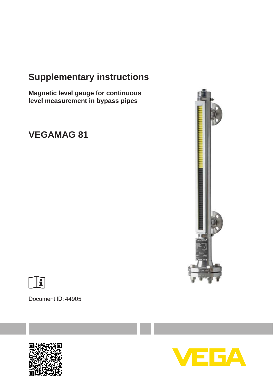# **Supplementary instructions**

**Magnetic level gauge for continuous level measurement in bypass pipes**

# **VEGAMAG 81**





Document ID: 44905



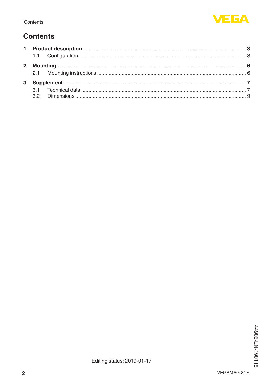## **Contents**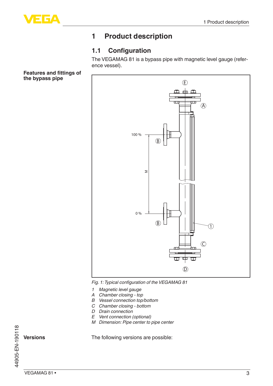

## **1 Product description**

## **1.1 Configuration**

The VEGAMAG 81 is a bypass pipe with magnetic level gauge (reference vessel).

**Features and fittings of the bypass pipe**



*Fig. 1: Typical configuration of the VEGAMAG 81*

- *1 Magnetic level gauge*
- *A Chamber closing top*
- *B Vessel connection top/bottom*
- *C Chamber closing bottom*
- *D Drain connection*
- *E Vent connection (optional)*
- *M Dimension: Pipe center to pipe center*

The following versions are possible:

44905-EN-190118 44905-EN-190118

**Versions**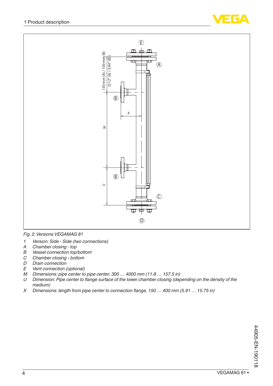



*Fig. 2: Versions VEGAMAG 81*

- *1 Version: Side Side (two connections)*
- *A Chamber closing top*
- *B Vessel connection top/bottom*
- *C Chamber closing bottom*
- *D Drain connection*
- *Vent connection (optional)*
- *M Dimensions: pipe center to pipe center, 300 … 4000 mm (11.8 … 157.5 in)*
- *U Dimension: Pipe center to flange surface of the lower chamber closing (depending on the density of the medium)*
- *X Dimensions: length from pipe center to connection flange, 150 … 400 mm (5.91 … 15.75 in)*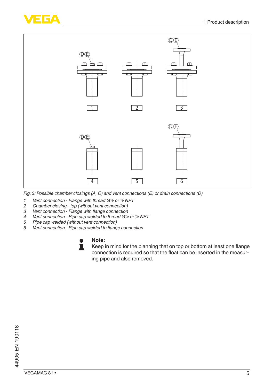



*Fig. 3: Possible chamber closings (A, C) and vent connections (E) or drain connections (D)*

- *1 Vent connection Flange with thread G½ or ½ NPT*
- *2 Chamber closing top (without vent connection)*
- *3 Vent connection Flange with flange connection*
- *4 Vent connection Pipe cap welded to thread G½ or ½ NPT*
- *5 Pipe cap welded (without vent connection)*
- *6 Vent connection Pipe cap welded to flange connection*

#### **Note:** П

Keep in mind for the planning that on top or bottom at least one flange connection is required so that the float can be inserted in the measuring pipe and also removed.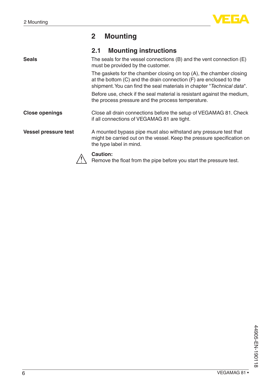

## **2 Mounting**

|                             | <b>Mounting instructions</b><br>2.1                                                                                                                                                                                 |
|-----------------------------|---------------------------------------------------------------------------------------------------------------------------------------------------------------------------------------------------------------------|
| <b>Seals</b>                | The seals for the vessel connections $(B)$ and the vent connection $(E)$<br>must be provided by the customer.                                                                                                       |
|                             | The gaskets for the chamber closing on top (A), the chamber closing<br>at the bottom (C) and the drain connection (F) are enclosed to the<br>shipment. You can find the seal materials in chapter "Technical data". |
|                             | Before use, check if the seal material is resistant against the medium,<br>the process pressure and the process temperature.                                                                                        |
| <b>Close openings</b>       | Close all drain connections before the setup of VEGAMAG 81. Check<br>if all connections of VEGAMAG 81 are tight.                                                                                                    |
| <b>Vessel pressure test</b> | A mounted bypass pipe must also withstand any pressure test that<br>might be carried out on the vessel. Keep the pressure specification on<br>the type label in mind.                                               |
|                             | Caution:<br>Remove the float from the pipe before you start the pressure test.                                                                                                                                      |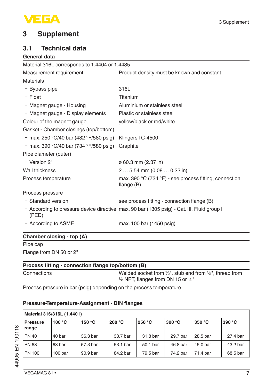

## **3 Supplement**

### **3.1 Technical data**

#### **General data**

| Material 316L corresponds to 1.4404 or 1.4435 |                                                                                            |
|-----------------------------------------------|--------------------------------------------------------------------------------------------|
| Measurement requirement                       | Product density must be known and constant                                                 |
| Materials                                     |                                                                                            |
| - Bypass pipe                                 | 316L                                                                                       |
| $-$ Float                                     | Titanium                                                                                   |
| - Magnet gauge - Housing                      | Aluminium or stainless steel                                                               |
| - Magnet gauge - Display elements             | Plastic or stainless steel                                                                 |
| Colour of the magnet gauge                    | yellow/black or red/white                                                                  |
| Gasket - Chamber closings (top/bottom)        |                                                                                            |
| - max. 250 °C/40 bar (482 °F/580 psig)        | Klingersil C-4500                                                                          |
| - max. 390 °C/40 bar (734 °F/580 psig)        | Graphite                                                                                   |
| Pipe diameter (outer)                         |                                                                                            |
| - Version 2"                                  | ø 60.3 mm (2.37 in)                                                                        |
| Wall thickness                                | $2 5.54$ mm $(0.08 0.22)$ in                                                               |
| Process temperature                           | max. 390 $^{\circ}$ C (734 $^{\circ}$ F) - see process fitting, connection<br>flange $(B)$ |
| Process pressure                              |                                                                                            |
| - Standard version                            | see process fitting - connection flange (B)                                                |
| (PED)                                         | - According to pressure device directive max. 90 bar (1305 psig) - Cat. III, Fluid group I |
| - According to ASME                           | max. 100 bar (1450 psig)                                                                   |

### **Chamber closing - top (A)**

Pipe cap

Flange from DN 50 or 2"

### **Process fitting - connection flange top/bottom (B)**

Connections Welded socket from ½", stub end from ½", thread from ½ NPT, flanges from DN 15 or ½"

Process pressure in bar (psig) depending on the process temperature

#### **Pressure-Temperature-Assignment - DIN flanges**

|                          | Material 316/316L (1.4401) |                  |                  |          |                  |          |          |  |  |  |  |  |  |  |  |
|--------------------------|----------------------------|------------------|------------------|----------|------------------|----------|----------|--|--|--|--|--|--|--|--|
| <b>Pressure</b><br>range | 100 $\degree$ C            | 150 $^{\circ}$ C | 200 $^{\circ}$ C | 250 °C   | 300 $^{\circ}$ C | 350 °C   | 390 °C   |  |  |  |  |  |  |  |  |
| <b>PN 40</b>             | 40 bar                     | 36.3 bar         | 33.7 bar         | 31.8 bar | 29.7 bar         | 28.5 bar | 27.4 bar |  |  |  |  |  |  |  |  |
| <b>PN 63</b>             | 63 bar                     | 57.3 bar         | 53.1 bar         | 50.1 bar | 46.8 bar         | 45.0 bar | 43.2 bar |  |  |  |  |  |  |  |  |
| PN 100                   | 100 <sub>bar</sub>         | 90.9 bar         | 84.2 bar         | 79.5 bar | 74.2 bar         | 71.4 bar | 68.5 bar |  |  |  |  |  |  |  |  |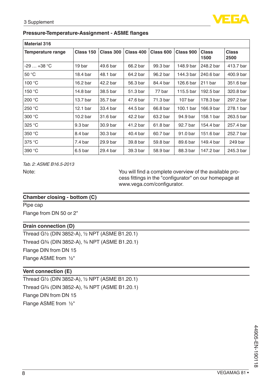

#### **Pressure-Temperature-Assignment - ASME flanges**

| <b>Material 316</b> |                     |           |           |           |           |               |                      |  |  |  |  |  |  |  |
|---------------------|---------------------|-----------|-----------|-----------|-----------|---------------|----------------------|--|--|--|--|--|--|--|
| Temperature range   | Class 150           | Class 300 | Class 400 | Class 600 | Class 900 | Class<br>1500 | <b>Class</b><br>2500 |  |  |  |  |  |  |  |
| $-29+38 °C$         | 19 bar              | 49.6 bar  | 66.2 bar  | 99.3 bar  | 148.9 bar | 248.2 bar     | 413.7 bar            |  |  |  |  |  |  |  |
| 50 °C               | 18.4 bar            | 48.1 bar  | 64.2 bar  | 96.2 bar  | 144.3 bar | 240.6 bar     | 400.9 bar            |  |  |  |  |  |  |  |
| 100 °C              | 16.2 bar            | 42.2 bar  | 56.3 bar  | 84.4 bar  | 126.6 bar | $211$ bar     | 351.6 bar            |  |  |  |  |  |  |  |
| 150 °C              | 14.8 bar            | 38.5 bar  | 51.3 bar  | 77 bar    | 115.5 bar | 192.5 bar     | 320.8 bar            |  |  |  |  |  |  |  |
| 200 °C              | 13.7 bar            | 35.7 bar  | 47.6 bar  | 71.3 bar  | 107 bar   | 178.3 bar     | 297.2 bar            |  |  |  |  |  |  |  |
| 250 °C              | 12.1 <sub>bar</sub> | 33.4 bar  | 44.5 bar  | 66.8 bar  | 100.1 bar | 166.9 bar     | 278.1 bar            |  |  |  |  |  |  |  |
| 300 °C              | 10.2 <sub>bar</sub> | 31.6 bar  | 42.2 bar  | 63.2 bar  | 94.9 bar  | 158.1 bar     | 263.5 bar            |  |  |  |  |  |  |  |
| 325 °C              | 9.3 <sub>bar</sub>  | 30.9 bar  | 41.2 bar  | 61.8 bar  | 92.7 bar  | 154.4 bar     | 257.4 bar            |  |  |  |  |  |  |  |
| 350 °C              | 8.4 bar             | 30.3 bar  | 40.4 bar  | 60.7 bar  | 91.0 bar  | 151.6 bar     | 252.7 bar            |  |  |  |  |  |  |  |
| 375 °C              | 7.4 <sub>bar</sub>  | 29.9 bar  | 39.8 bar  | 59.8 bar  | 89.6 bar  | 149.4 bar     | 249 bar              |  |  |  |  |  |  |  |
| 390 °C              | 6.5 <sub>bar</sub>  | 29.4 bar  | 39.3 bar  | 58.9 bar  | 88.3 bar  | 147.2 bar     | 245.3 bar            |  |  |  |  |  |  |  |

*Tab. 2: ASME B16.5-2013*

Note: You will find a complete overview of the available process fittings in the "configurator" on our homepage at www.vega.com/configurator.

#### **Chamber closing - bottom (C)**

Pipe cap

Flange from DN 50 or 2"

#### **Drain connection (D)**

Thread G½ (DIN 3852-A), ½ NPT (ASME B1.20.1) Thread G¾ (DIN 3852-A), ¾ NPT (ASME B1.20.1) Flange DIN from DN 15 Flange ASME from ½"

#### **Vent connection (E)**

Thread G½ (DIN 3852-A), ½ NPT (ASME B1.20.1) Thread G¾ (DIN 3852-A), ¾ NPT (ASME B1.20.1) Flange DIN from DN 15 Flange ASME from ½"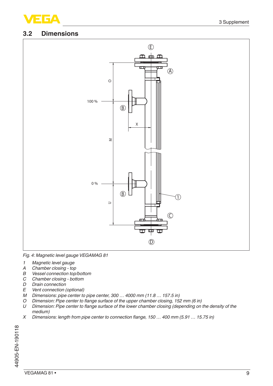

#### **3.2 Dimensions**



*Fig. 4: Magnetic level gauge VEGAMAG 81*

- *1 Magnetic level gauge*
- *A Chamber closing top*
- *B Vessel connection top/bottom*
- *C Chamber closing bottom*
- *D Drain connection*
- **Vent connection (optional)**
- *M Dimensions: pipe center to pipe center, 300 … 4000 mm (11.8 … 157.5 in)*
- *O Dimension: Pipe center to flange surface of the upper chamber closing, 152 mm (6 in)*
- *U Dimension: Pipe center to flange surface of the lower chamber closing (depending on the density of the medium)*
- *X Dimensions: length from pipe center to connection flange, 150 … 400 mm (5.91 … 15.75 in)*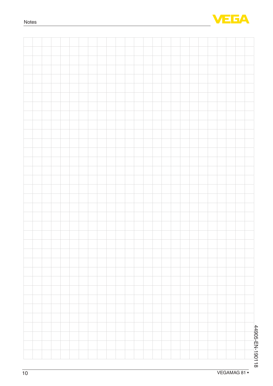

|  |  |  |  |  |  |  |  |  |  |  |  | 44905-EN-190118 |
|--|--|--|--|--|--|--|--|--|--|--|--|-----------------|
|  |  |  |  |  |  |  |  |  |  |  |  |                 |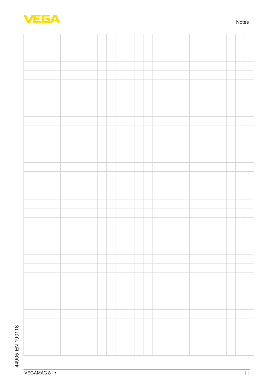

and a string